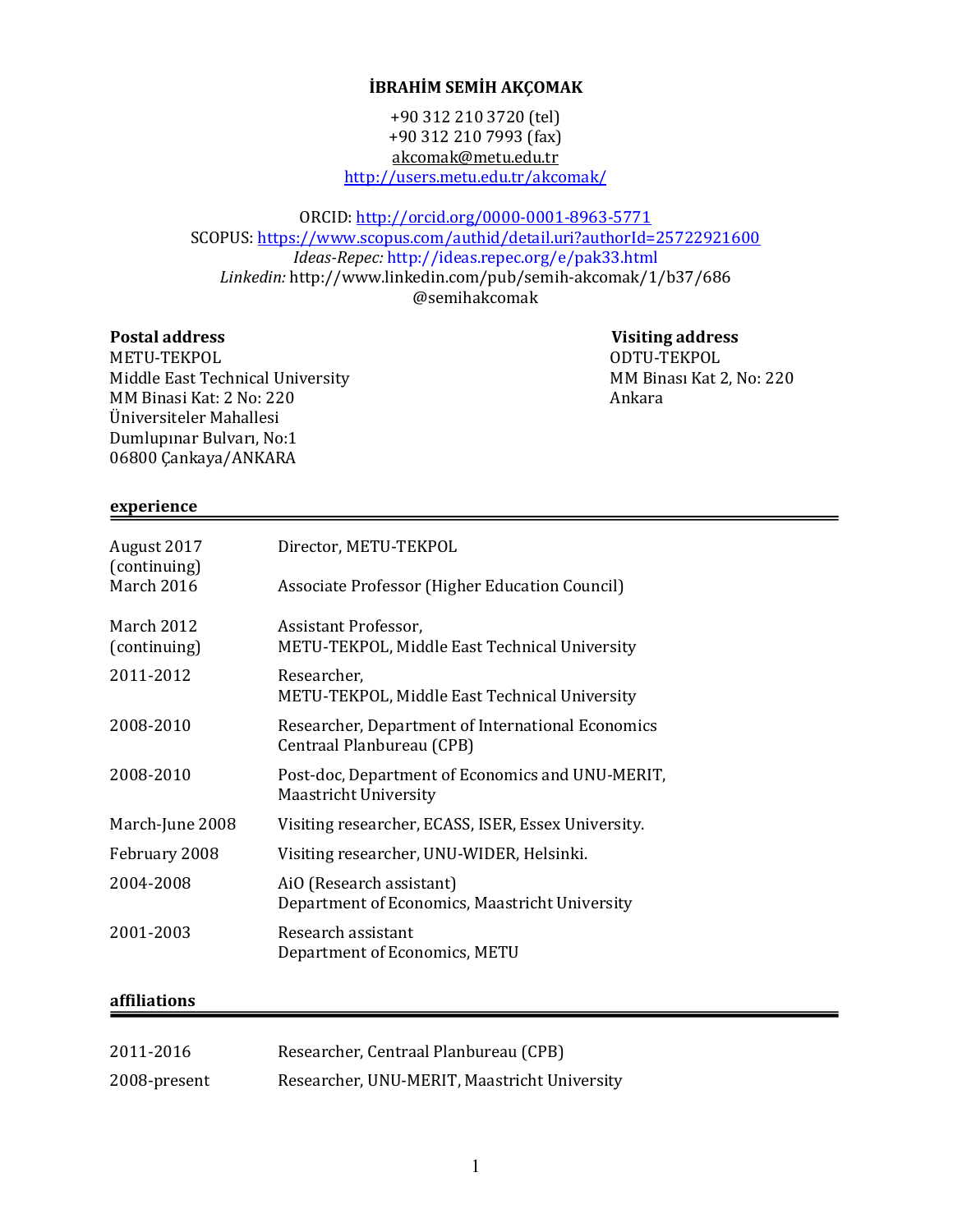# **İBRAHİM SEMİH AKÇOMAK**

+90 312 210 3720 (tel) +90 312 210 7993 (fax) akcomak@metu.edu.tr http://users.metu.edu.tr/akcomak/

ORCID: http://orcid.org/0000-0001-8963-5771 SCOPUS: https://www.scopus.com/authid/detail.uri?authorId=25722921600 *Ideas-Repec:* http://ideas.repec.org/e/pak33.html *Linkedin:* http://www.linkedin.com/pub/semih-akcomak/1/b37/686 @semihakcomak

## **Postal address**

 **Visiting address** ODTU-TEKPOL MM Binası Kat 2, No: 220 Ankara

METU-TEKPOL Middle East Technical University MM Binasi Kat: 2 No: 220 Üniversiteler Mahallesi Dumlupınar Bulvarı, No:1 06800 Çankaya/ANKARA

#### **experience**

| Director, METU-TEKPOL                                                            |
|----------------------------------------------------------------------------------|
| Associate Professor (Higher Education Council)                                   |
| Assistant Professor,                                                             |
| METU-TEKPOL, Middle East Technical University                                    |
| Researcher,                                                                      |
| METU-TEKPOL, Middle East Technical University                                    |
| Researcher, Department of International Economics<br>Centraal Planbureau (CPB)   |
| Post-doc, Department of Economics and UNU-MERIT,<br><b>Maastricht University</b> |
| Visiting researcher, ECASS, ISER, Essex University.                              |
| Visiting researcher, UNU-WIDER, Helsinki.                                        |
| AiO (Research assistant)<br>Department of Economics, Maastricht University       |
| Research assistant<br>Department of Economics, METU                              |
|                                                                                  |

# **affiliations**

| 2011-2016    | Researcher, Centraal Planbureau (CPB)        |
|--------------|----------------------------------------------|
| 2008-present | Researcher, UNU-MERIT, Maastricht University |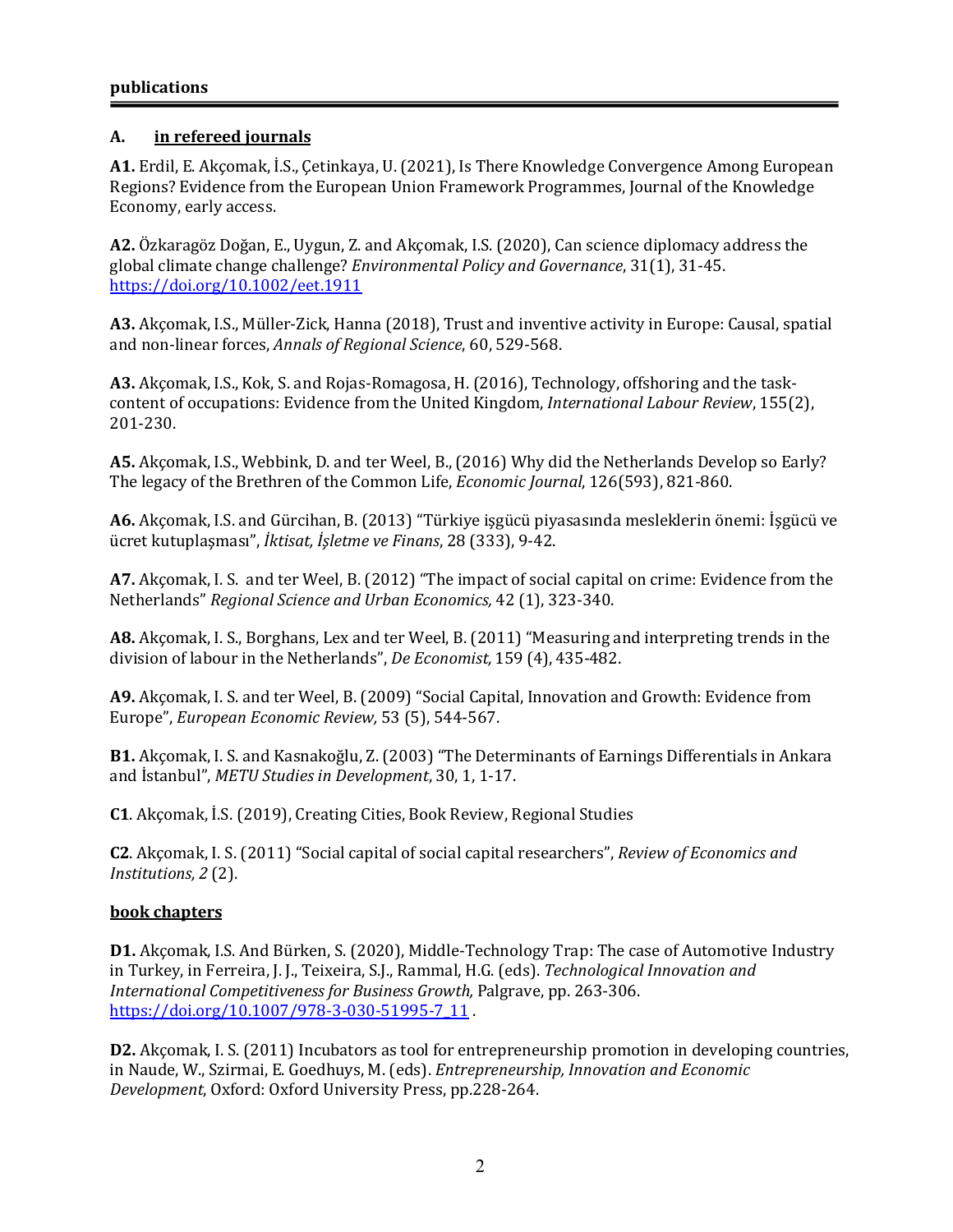# **A. in refereed journals**

**A1.** Erdil, E. Akçomak, İ.S., Çetinkaya, U. (2021), Is There Knowledge Convergence Among European Regions? Evidence from the European Union Framework Programmes, Journal of the Knowledge Economy, early access.

A2. Özkaragöz Doğan, E., Uygun, Z. and Akçomak, I.S. (2020), Can science diplomacy address the global climate change challenge? *Environmental Policy and Governance*, 31(1), 31-45. https://doi.org/10.1002/eet.1911

A3. Akçomak, I.S., Müller-Zick, Hanna (2018), Trust and inventive activity in Europe: Causal, spatial and non-linear forces, *Annals of Regional Science*, 60, 529-568.

A3. Akçomak, I.S., Kok, S. and Rojas-Romagosa, H. (2016), Technology, offshoring and the taskcontent of occupations: Evidence from the United Kingdom, *International Labour Review*, 155(2), 201-230.

A5. Akçomak, I.S., Webbink, D. and ter Weel, B., (2016) Why did the Netherlands Develop so Early? The legacy of the Brethren of the Common Life, *Economic Journal*, 126(593), 821-860.

**A6.** Akçomak, I.S. and Gürcihan, B. (2013) "Türkiye işgücü piyasasında mesleklerin önemi: İşgücü ve ücret kutuplasması", *İktisat, İsletme ve Finans*, 28 (333), 9-42.

**A7.** Akçomak, I. S. and ter Weel, B. (2012) "The impact of social capital on crime: Evidence from the Netherlands" *Regional Science and Urban Economics,* 42 (1), 323-340.

A8. Akçomak, I. S., Borghans, Lex and ter Weel, B. (2011) "Measuring and interpreting trends in the division of labour in the Netherlands", *De Economist*, 159 (4), 435-482.

A9. Akcomak, I. S. and ter Weel, B. (2009) "Social Capital, Innovation and Growth: Evidence from Europe", *European Economic Review*, 53 (5), 544-567.

**B1.** Akçomak, I. S. and Kasnakoğlu, Z. (2003) "The Determinants of Earnings Differentials in Ankara and İstanbul", *METU Studies in Development*, 30, 1, 1-17.

**C1**. Akçomak, İ.S. (2019), Creating Cities, Book Review, Regional Studies

**C2**. Akcomak, I. S. (2011) "Social capital of social capital researchers", *Review of Economics and Institutions, 2* (2). 

### **book chapters**

**D1.** Akcomak, I.S. And Bürken, S. (2020), Middle-Technology Trap: The case of Automotive Industry in Turkey, in Ferreira, J. J., Teixeira, S.J., Rammal, H.G. (eds). *Technological Innovation and International Competitiveness for Business Growth, Palgrave, pp. 263-306.* https://doi.org/10.1007/978-3-030-51995-7\_11.

**D2.** Akcomak, I. S. (2011) Incubators as tool for entrepreneurship promotion in developing countries, in Naude, W., Szirmai, E. Goedhuys, M. (eds). *Entrepreneurship, Innovation and Economic Development*, Oxford: Oxford University Press, pp.228-264.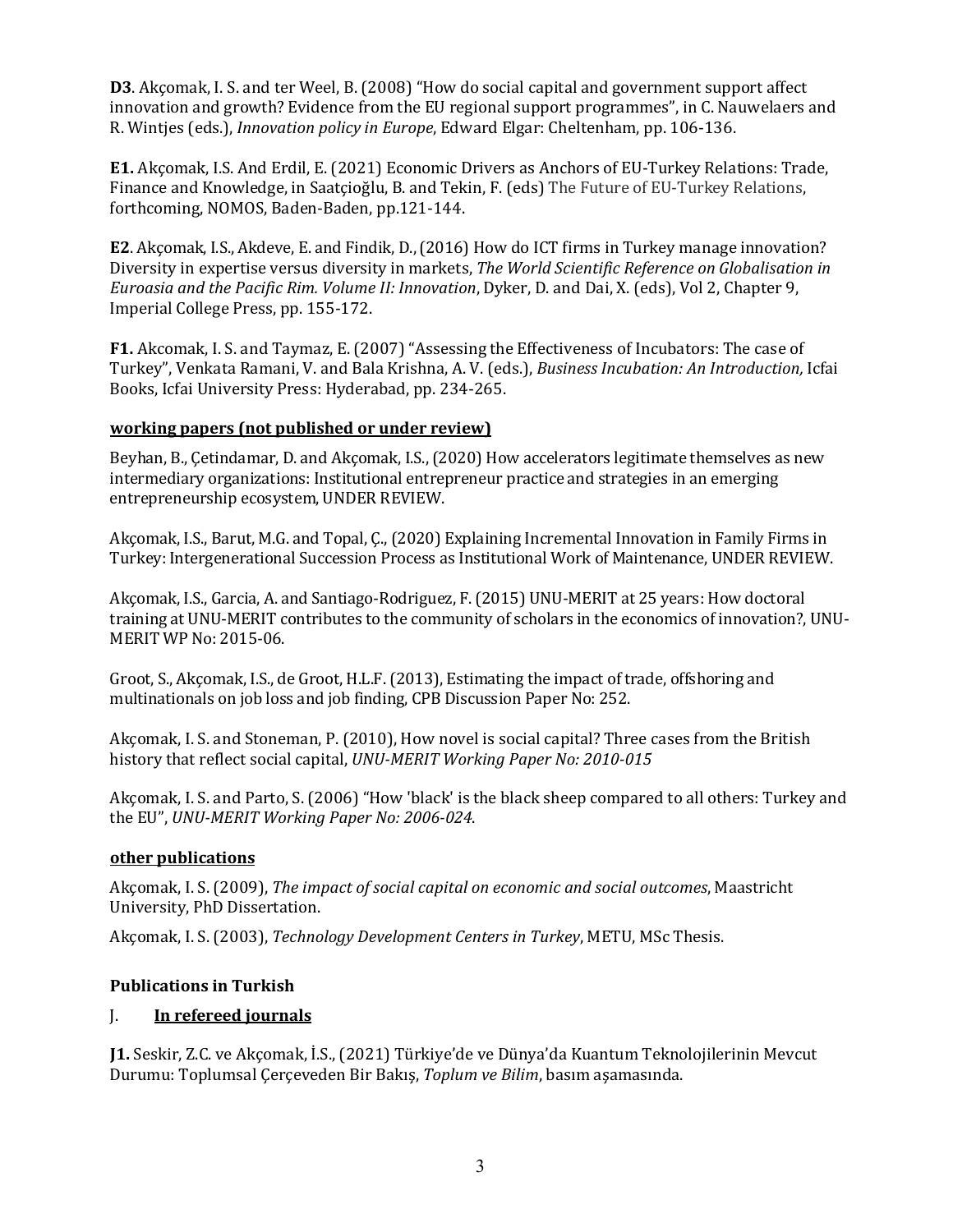**D3**. Akcomak, I. S. and ter Weel, B. (2008) "How do social capital and government support affect innovation and growth? Evidence from the EU regional support programmes", in C. Nauwelaers and R. Wintjes (eds.), *Innovation policy in Europe*, Edward Elgar: Cheltenham, pp. 106-136.

**E1.** Akçomak, I.S. And Erdil, E. (2021) Economic Drivers as Anchors of EU-Turkey Relations: Trade, Finance and Knowledge, in Saatçioğlu, B. and Tekin, F. (eds) The Future of EU-Turkey Relations, forthcoming, NOMOS, Baden-Baden, pp.121-144.

**E2**. Akçomak, I.S., Akdeve, E. and Findik, D., (2016) How do ICT firms in Turkey manage innovation? Diversity in expertise versus diversity in markets, *The World Scientific Reference on Globalisation* in *Euroasia and the Pacific Rim. Volume II: Innovation*, Dyker, D. and Dai, X. (eds), Vol 2, Chapter 9, Imperial College Press, pp. 155-172.

**F1.** Akcomak, I. S. and Taymaz, E. (2007) "Assessing the Effectiveness of Incubators: The case of Turkey", Venkata Ramani, V. and Bala Krishna, A. V. (eds.), *Business Incubation: An Introduction*, Icfai Books, Icfai University Press: Hyderabad, pp. 234-265.

### **working papers (not published or under review)**

Beyhan, B., Çetindamar, D. and Akçomak, I.S., (2020) How accelerators legitimate themselves as new intermediary organizations: Institutional entrepreneur practice and strategies in an emerging entrepreneurship ecosystem, UNDER REVIEW.

Akçomak, I.S., Barut, M.G. and Topal, Ç., (2020) Explaining Incremental Innovation in Family Firms in Turkey: Intergenerational Succession Process as Institutional Work of Maintenance, UNDER REVIEW.

Akcomak, I.S., Garcia, A. and Santiago-Rodriguez, F. (2015) UNU-MERIT at 25 years: How doctoral training at UNU-MERIT contributes to the community of scholars in the economics of innovation?, UNU-MERIT WP No: 2015-06.

Groot, S., Akçomak, I.S., de Groot, H.L.F. (2013), Estimating the impact of trade, offshoring and multinationals on job loss and job finding, CPB Discussion Paper No: 252.

Akcomak, I. S. and Stoneman, P. (2010), How novel is social capital? Three cases from the British history that reflect social capital, *UNU-MERIT Working Paper No: 2010-015* 

Akcomak, I. S. and Parto, S. (2006) "How 'black' is the black sheep compared to all others: Turkey and the EU", *UNU-MERIT Working Paper No: 2006-024.* 

#### **other publications**

Akcomak, I. S. (2009), *The impact of social capital on economic and social outcomes*, Maastricht University, PhD Dissertation.

Akçomak, I. S. (2003), *Technology Development Centers in Turkey*, METU, MSc Thesis.

### **Publications in Turkish**

### I. **In refereed journals**

**J1.** Seskir, Z.C. ve Akçomak, İ.S., (2021) Türkiye'de ve Dünya'da Kuantum Teknolojilerinin Mevcut Durumu: Toplumsal Çerçeveden Bir Bakış, *Toplum ve Bilim*, basım aşamasında.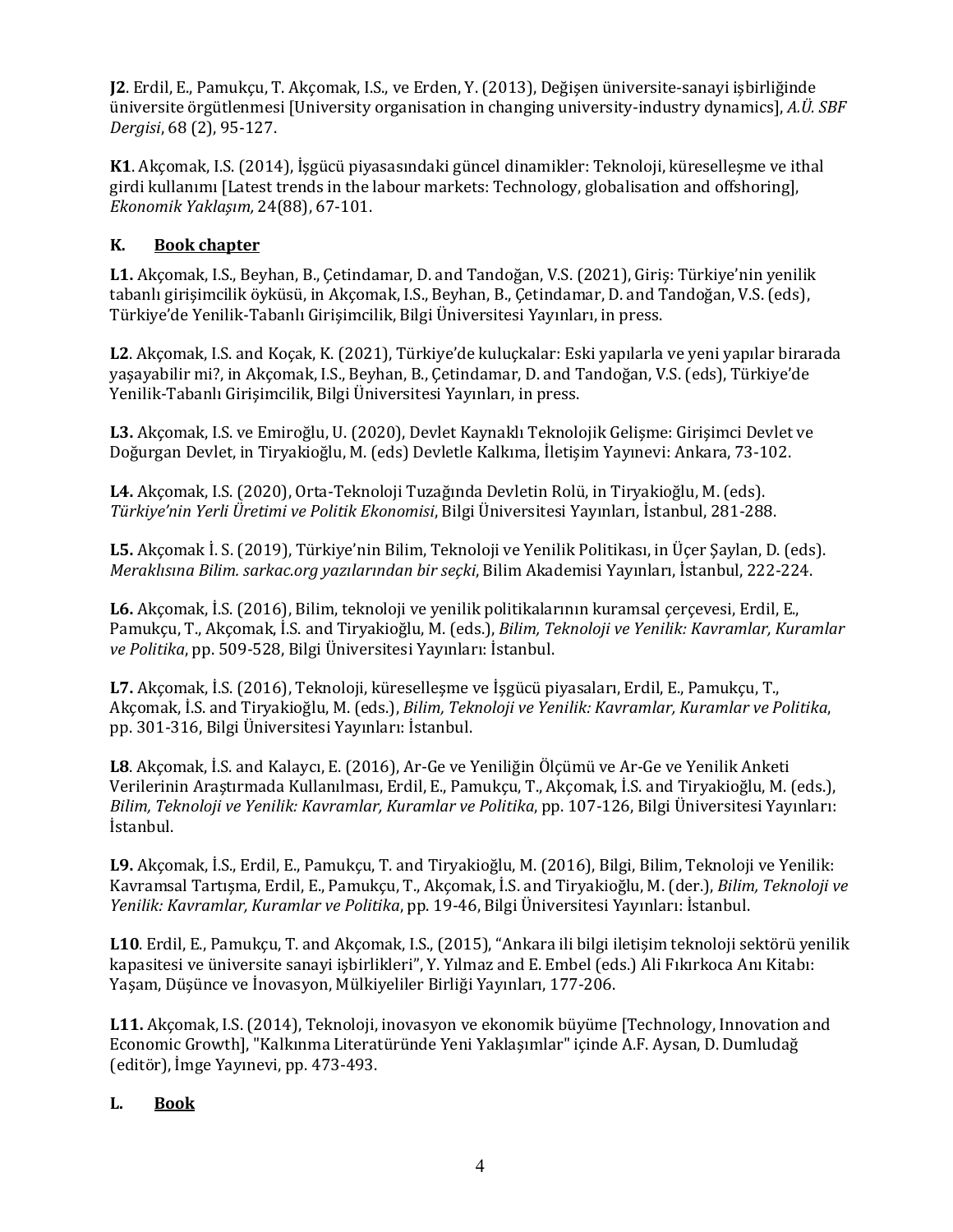**J2**. Erdil, E., Pamukçu, T. Akçomak, I.S., ve Erden, Y. (2013), Değişen üniversite-sanayi işbirliğinde üniversite örgütlenmesi [University organisation in changing university-industry dynamics], *A.Ü. SBF Dergisi*, 68 (2), 95-127. 

**K1**. Akçomak, I.S. (2014), İşgücü piyasasındaki güncel dinamikler: Teknoloji, küreselleşme ve ithal girdi kullanımı [Latest trends in the labour markets: Technology, globalisation and offshoring], *Ekonomik Yaklaşım,* 24(88), 67-101. 

# **K. Book chapter**

**L1.** Akcomak, I.S., Beyhan, B., Cetindamar, D. and Tandoğan, V.S. (2021), Giris: Türkiye'nin yenilik tabanlı girişimcilik öyküsü, in Akçomak, I.S., Beyhan, B., Cetindamar, D. and Tandoğan, V.S. (eds), Türkiye'de Yenilik-Tabanlı Girişimcilik, Bilgi Üniversitesi Yayınları, in press.

**L2**. Akçomak, I.S. and Koçak, K. (2021), Türkiye'de kuluçkalar: Eski yapılarla ve yeni yapılar birarada yaşayabilir mi?, in Akçomak, I.S., Beyhan, B., Çetindamar, D. and Tandoğan, V.S. (eds), Türkiye'de Yenilik-Tabanlı Girişimcilik, Bilgi Üniversitesi Yayınları, in press.

L3. Akçomak, I.S. ve Emiroğlu, U. (2020), Devlet Kaynaklı Teknolojik Gelişme: Girişimci Devlet ve Doğurgan Devlet, in Tiryakioğlu, M. (eds) Devletle Kalkıma, İletişim Yayınevi: Ankara, 73-102.

L4. Akçomak, I.S. (2020), Orta-Teknoloji Tuzağında Devletin Rolü, in Tiryakioğlu, M. (eds). *Türkiye'nin Yerli Üretimi ve Politik Ekonomisi*, Bilgi Üniversitesi Yayınları, İstanbul, 281-288. 

**L5.** Akcomak İ. S. (2019), Türkiye'nin Bilim, Teknoloji ve Yenilik Politikası, in Üçer Saylan, D. (eds). *Meraklısına Bilim. sarkac.org yazılarından bir seçki*, Bilim Akademisi Yayınları, I{stanbul, 222-224.

L6. Akçomak, İ.S. (2016), Bilim, teknoloji ve yenilik politikalarının kuramsal çerçevesi, Erdil, E., Pamukçu, T., Akçomak, İ.S. and Tiryakioğlu, M. (eds.), *Bilim, Teknoloji ve Yenilik: Kavramlar, Kuramlar* ve Politika, pp. 509-528, Bilgi Üniversitesi Yayınları: İstanbul.

**L7.** Akcomak, İ.S. (2016), Teknoloji, küresellesme ve İsgücü piyasaları, Erdil, E., Pamukçu, T., Akçomak, İ.S. and Tiryakioğlu, M. (eds.), *Bilim, Teknoloji ve Yenilik: Kavramlar, Kuramlar ve Politika*, pp. 301-316, Bilgi Üniversitesi Yayınları: İstanbul.

**L8**. Akçomak, İ.S. and Kalaycı, E. (2016), Ar-Ge ve Yeniliğin Ölçümü ve Ar-Ge ve Yenilik Anketi Verilerinin Araştırmada Kullanılması, Erdil, E., Pamukçu, T., Akçomak, İ.S. and Tiryakioğlu, M. (eds.), *Bilim, Teknoloji ve Yenilik: Kavramlar, Kuramlar ve Politika, pp. 107-126, Bilgi Üniversitesi Yayınları:* İstanbul. 

**L9.** Akçomak, İ.S., Erdil, E., Pamukçu, T. and Tiryakioğlu, M. (2016), Bilgi, Bilim, Teknoloji ve Yenilik: Kavramsal Tartışma, Erdil, E., Pamukçu, T., Akçomak, İ.S. and Tiryakioğlu, M. (der.), *Bilim, Teknoloji ve* Yenilik: Kavramlar, Kuramlar ve Politika, pp. 19-46, Bilgi Üniversitesi Yayınları: İstanbul.

**L10**. Erdil, E., Pamukçu, T. and Akçomak, I.S., (2015), "Ankara ili bilgi iletişim teknoloji sektörü yenilik kapasitesi ve üniversite sanayi işbirlikleri", Y. Yılmaz and E. Embel (eds.) Ali Fıkırkoca Anı Kitabı: Yaşam, Düşünce ve İnovasyon, Mülkiyeliler Birliği Yayınları, 177-206.

**L11.** Akçomak, I.S. (2014), Teknoloji, inovasyon ve ekonomik büyüme [Technology, Innovation and Economic Growth], "Kalkınma Literatüründe Yeni Yaklaşımlar" içinde A.F. Aysan, D. Dumludağ (editör), İmge Yayınevi, pp. 473-493.

### L. **Book**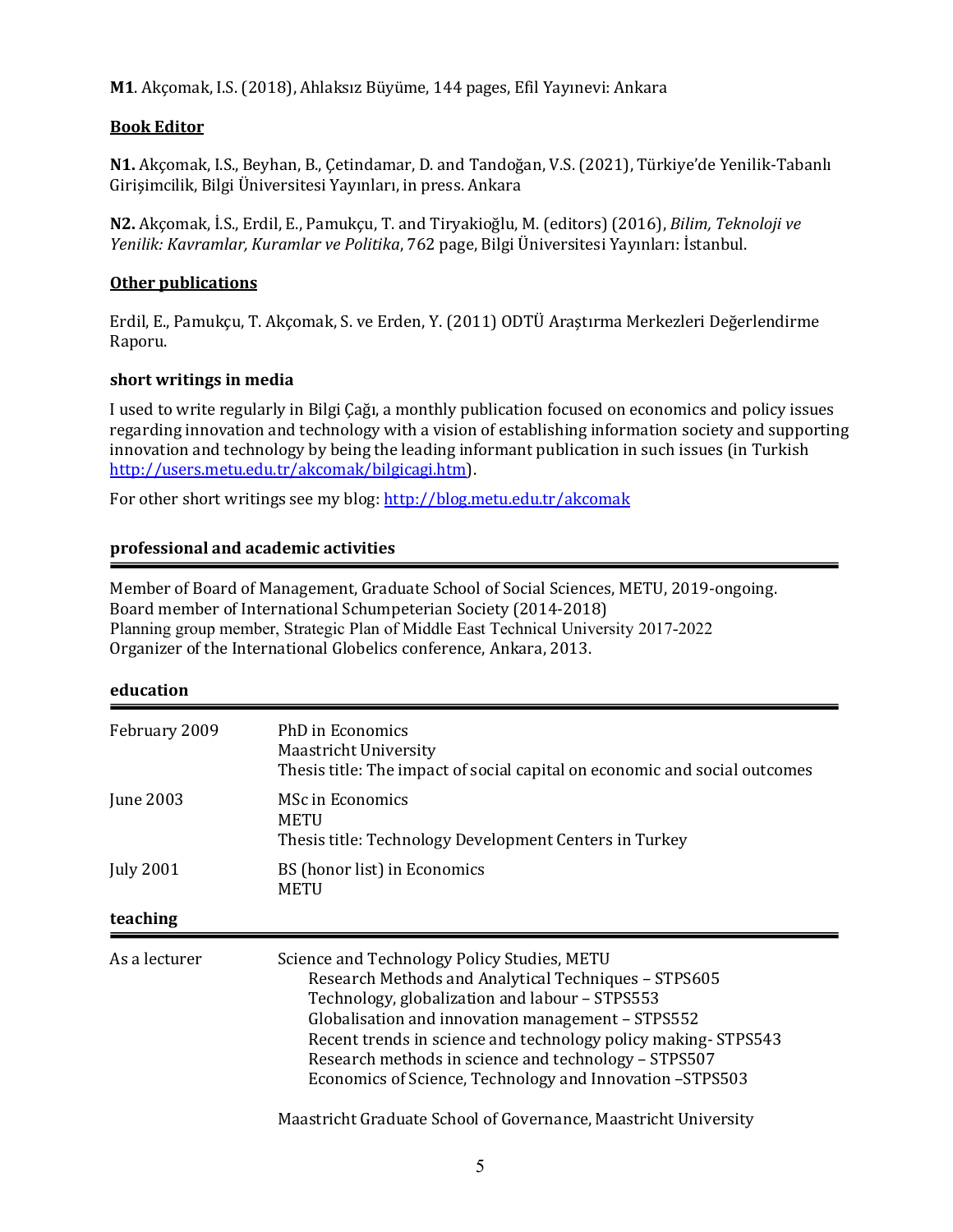**M1**. Akçomak, I.S. (2018), Ahlaksız Büyüme, 144 pages, Efil Yayınevi: Ankara

#### **Book Editor**

**N1.** Akcomak, I.S., Beyhan, B., Cetindamar, D. and Tandoğan, V.S. (2021), Türkiye'de Yenilik-Tabanlı Girişimcilik, Bilgi Üniversitesi Yayınları, in press. Ankara

**N2.** Akçomak, İ.S., Erdil, E., Pamukçu, T. and Tiryakioğlu, M. (editors) (2016), *Bilim, Teknoloji ve Yenilik: Kavramlar, Kuramlar ve Politika*, 762 page, Bilgi Üniversitesi Yayınları: İstanbul.

### **Other publications**

Erdil, E., Pamukçu, T. Akçomak, S. ve Erden, Y. (2011) ODTÜ Arastırma Merkezleri Değerlendirme Raporu.

### short writings in media

I used to write regularly in Bilgi Cağı, a monthly publication focused on economics and policy issues regarding innovation and technology with a vision of establishing information society and supporting innovation and technology by being the leading informant publication in such issues (in Turkish http://users.metu.edu.tr/akcomak/bilgicagi.htm). 

For other short writings see my blog: http://blog.metu.edu.tr/akcomak

### **professional and academic activities**

Member of Board of Management, Graduate School of Social Sciences, METU, 2019-ongoing. Board member of International Schumpeterian Society (2014-2018) Planning group member, Strategic Plan of Middle East Technical University 2017-2022 Organizer of the International Globelics conference, Ankara, 2013.

#### **education**

| February 2009    | PhD in Economics<br><b>Maastricht University</b><br>Thesis title: The impact of social capital on economic and social outcomes                                                                                                                                                                                                                                                                  |
|------------------|-------------------------------------------------------------------------------------------------------------------------------------------------------------------------------------------------------------------------------------------------------------------------------------------------------------------------------------------------------------------------------------------------|
| June 2003        | <b>MSc in Economics</b><br><b>METU</b><br>Thesis title: Technology Development Centers in Turkey                                                                                                                                                                                                                                                                                                |
| <b>July 2001</b> | BS (honor list) in Economics<br>METU                                                                                                                                                                                                                                                                                                                                                            |
| teaching         |                                                                                                                                                                                                                                                                                                                                                                                                 |
| As a lecturer    | Science and Technology Policy Studies, METU<br>Research Methods and Analytical Techniques - STPS605<br>Technology, globalization and labour - STPS553<br>Globalisation and innovation management - STPS552<br>Recent trends in science and technology policy making-STPS543<br>Research methods in science and technology - STPS507<br>Economics of Science, Technology and Innovation -STPS503 |
|                  | Maastricht Graduate School of Governance, Maastricht University                                                                                                                                                                                                                                                                                                                                 |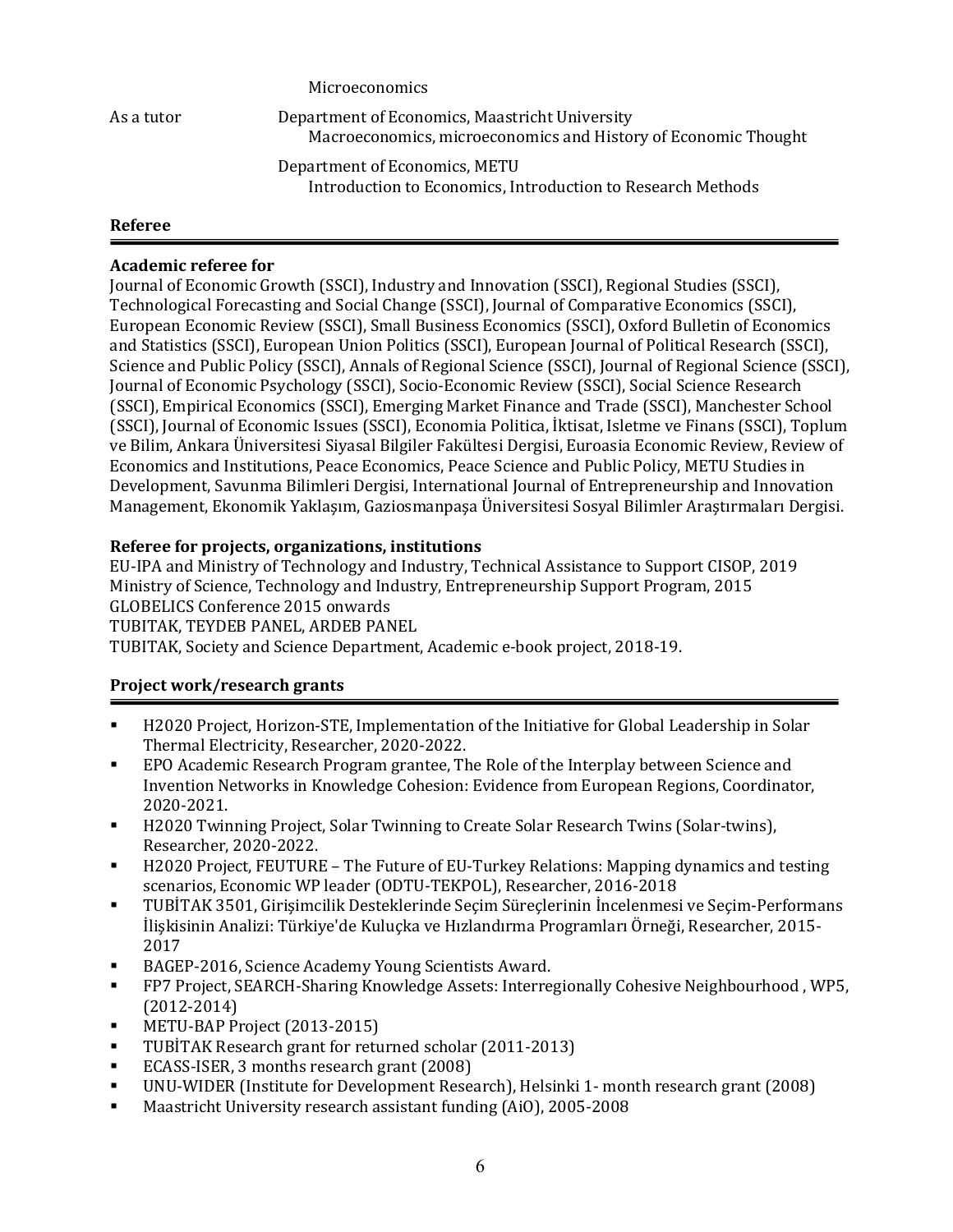Microeconomics As a tutor **Department of Economics, Maastricht University** Macroeconomics, microeconomics and History of Economic Thought Department of Economics, METU Introduction to Economics, Introduction to Research Methods

### **Referee**

### **Academic referee for**

Journal of Economic Growth (SSCI), Industry and Innovation (SSCI), Regional Studies (SSCI), Technological Forecasting and Social Change (SSCI), Journal of Comparative Economics (SSCI), European Economic Review (SSCI), Small Business Economics (SSCI), Oxford Bulletin of Economics and Statistics (SSCI), European Union Politics (SSCI), European Journal of Political Research (SSCI), Science and Public Policy (SSCI), Annals of Regional Science (SSCI), Journal of Regional Science (SSCI), Journal of Economic Psychology (SSCI), Socio-Economic Review (SSCI), Social Science Research (SSCI), Empirical Economics (SSCI), Emerging Market Finance and Trade (SSCI), Manchester School (SSCI), Journal of Economic Issues (SSCI), Economia Politica, İktisat, Isletme ve Finans (SSCI), Toplum ve Bilim, Ankara Üniversitesi Siyasal Bilgiler Fakültesi Dergisi, Euroasia Economic Review, Review of Economics and Institutions, Peace Economics, Peace Science and Public Policy, METU Studies in Development, Savunma Bilimleri Dergisi, International Journal of Entrepreneurship and Innovation Management, Ekonomik Yaklaşım, Gaziosmanpaşa Üniversitesi Sosyal Bilimler Araştırmaları Dergisi.

### **Referee for projects, organizations, institutions**

EU-IPA and Ministry of Technology and Industry, Technical Assistance to Support CISOP, 2019 Ministry of Science, Technology and Industry, Entrepreneurship Support Program, 2015 GLOBELICS Conference 2015 onwards TUBITAK, TEYDEB PANEL, ARDEB PANEL TUBITAK, Society and Science Department, Academic e-book project, 2018-19.

### **Project work/research grants**

- H2020 Project, Horizon-STE, Implementation of the Initiative for Global Leadership in Solar Thermal Electricity, Researcher, 2020-2022.
- EPO Academic Research Program grantee, The Role of the Interplay between Science and Invention Networks in Knowledge Cohesion: Evidence from European Regions, Coordinator, 2020-2021.
- **•** H2020 Twinning Project, Solar Twinning to Create Solar Research Twins (Solar-twins), Researcher, 2020-2022.
- H2020 Project, FEUTURE The Future of EU-Turkey Relations: Mapping dynamics and testing scenarios, Economic WP leader (ODTU-TEKPOL), Researcher, 2016-2018
- TUBİTAK 3501, Girişimcilik Desteklerinde Seçim Süreçlerinin İncelenmesi ve Seçim-Performans İlişkisinin Analizi: Türkiye'de Kuluçka ve Hızlandırma Programları Örneği, Researcher, 2015- 2017
- BAGEP-2016, Science Academy Young Scientists Award.
- FP7 Project, SEARCH-Sharing Knowledge Assets: Interregionally Cohesive Neighbourhood, WP5, (2012-2014)
- METU-BAP Project (2013-2015)
- TUBİTAK Research grant for returned scholar (2011-2013)
- ECASS-ISER, 3 months research grant (2008)
- UNU-WIDER (Institute for Development Research), Helsinki 1- month research grant (2008)
- Maastricht University research assistant funding  $(Ai0)$ , 2005-2008